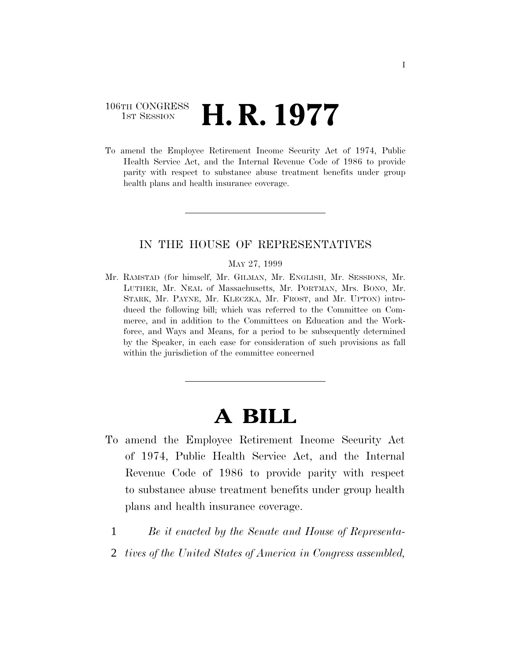### 106TH CONGRESS TH CONGRESS **H. R. 1977**

To amend the Employee Retirement Income Security Act of 1974, Public Health Service Act, and the Internal Revenue Code of 1986 to provide parity with respect to substance abuse treatment benefits under group health plans and health insurance coverage.

### IN THE HOUSE OF REPRESENTATIVES

#### MAY 27, 1999

Mr. RAMSTAD (for himself, Mr. GILMAN, Mr. ENGLISH, Mr. SESSIONS, Mr. LUTHER, Mr. NEAL of Massachusetts, Mr. PORTMAN, Mrs. BONO, Mr. STARK, Mr. PAYNE, Mr. KLECZKA, Mr. FROST, and Mr. UPTON) introduced the following bill; which was referred to the Committee on Commerce, and in addition to the Committees on Education and the Workforce, and Ways and Means, for a period to be subsequently determined by the Speaker, in each case for consideration of such provisions as fall within the jurisdiction of the committee concerned

# **A BILL**

- To amend the Employee Retirement Income Security Act of 1974, Public Health Service Act, and the Internal Revenue Code of 1986 to provide parity with respect to substance abuse treatment benefits under group health plans and health insurance coverage.
	- 1 *Be it enacted by the Senate and House of Representa-*
	- 2 *tives of the United States of America in Congress assembled,*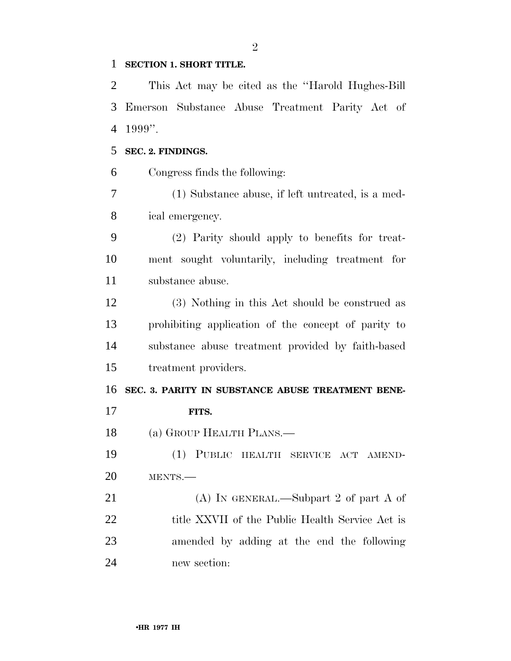### **SECTION 1. SHORT TITLE.**

 This Act may be cited as the ''Harold Hughes-Bill Emerson Substance Abuse Treatment Parity Act of 1999''.

### **SEC. 2. FINDINGS.**

Congress finds the following:

 (1) Substance abuse, if left untreated, is a med-ical emergency.

 (2) Parity should apply to benefits for treat- ment sought voluntarily, including treatment for substance abuse.

 (3) Nothing in this Act should be construed as prohibiting application of the concept of parity to substance abuse treatment provided by faith-based treatment providers.

**SEC. 3. PARITY IN SUBSTANCE ABUSE TREATMENT BENE-**

- **FITS.**
- (a) GROUP HEALTH PLANS.—

 (1) PUBLIC HEALTH SERVICE ACT AMEND-MENTS.—

 (A) IN GENERAL.—Subpart 2 of part A of 22 title XXVII of the Public Health Service Act is amended by adding at the end the following new section: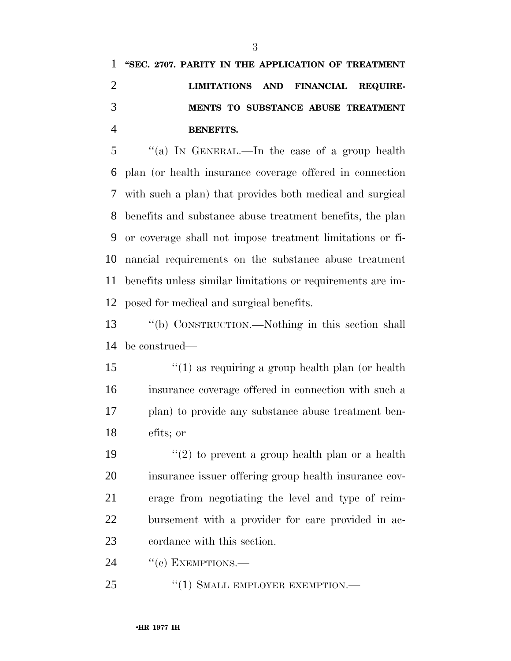## **''SEC. 2707. PARITY IN THE APPLICATION OF TREATMENT LIMITATIONS AND FINANCIAL REQUIRE- MENTS TO SUBSTANCE ABUSE TREATMENT BENEFITS.**

 ''(a) IN GENERAL.—In the case of a group health plan (or health insurance coverage offered in connection with such a plan) that provides both medical and surgical benefits and substance abuse treatment benefits, the plan or coverage shall not impose treatment limitations or fi- nancial requirements on the substance abuse treatment benefits unless similar limitations or requirements are im-posed for medical and surgical benefits.

 ''(b) CONSTRUCTION.—Nothing in this section shall be construed—

 ''(1) as requiring a group health plan (or health insurance coverage offered in connection with such a plan) to provide any substance abuse treatment ben-efits; or

 $\frac{1}{2}$  to prevent a group health plan or a health insurance issuer offering group health insurance cov- erage from negotiating the level and type of reim- bursement with a provider for care provided in ac-cordance with this section.

24 "(c) EXEMPTIONS.—

25 "(1) SMALL EMPLOYER EXEMPTION.—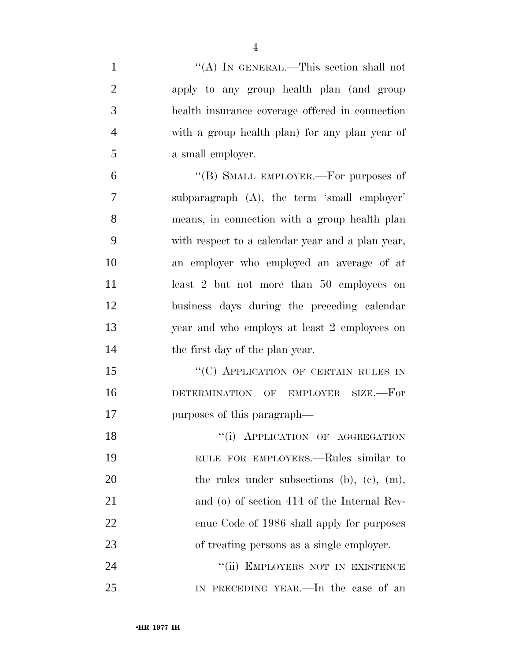| $\mathbf{1}$   | "(A) IN GENERAL.—This section shall not          |
|----------------|--------------------------------------------------|
| $\overline{2}$ | apply to any group health plan (and group        |
| 3              | health insurance coverage offered in connection  |
| $\overline{4}$ | with a group health plan) for any plan year of   |
| 5              | a small employer.                                |
| 6              | "(B) SMALL EMPLOYER.—For purposes of             |
| 7              | subparagraph (A), the term 'small employer'      |
| 8              | means, in connection with a group health plan    |
| 9              | with respect to a calendar year and a plan year, |
| 10             | an employer who employed an average of at        |
| 11             | least 2 but not more than 50 employees on        |
| 12             | business days during the preceding calendar      |
| 13             | year and who employs at least 2 employees on     |
| 14             | the first day of the plan year.                  |
| 15             | "(C) APPLICATION OF CERTAIN RULES IN             |
| 16             | DETERMINATION OF EMPLOYER SIZE.-For              |
| 17             | purposes of this paragraph—                      |
| 18             | APPLICATION OF AGGREGATION                       |
| 19             | RULE FOR EMPLOYERS.—Rules similar to             |
| 20             | the rules under subsections (b), $(c)$ , $(m)$ , |
| 21             | and (o) of section 414 of the Internal Rev-      |
| 22             | enue Code of 1986 shall apply for purposes       |
| 23             | of treating persons as a single employer.        |
| 24             | "(ii) EMPLOYERS NOT IN EXISTENCE                 |
| 25             | IN PRECEDING YEAR.—In the case of an             |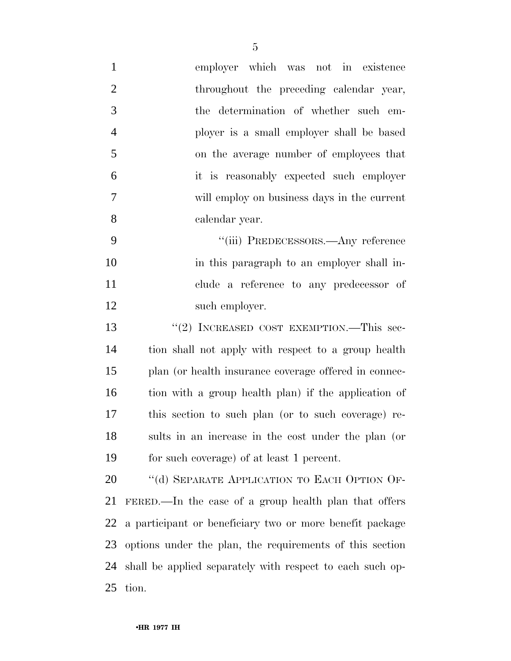| $\mathbf{1}$   | employer which was not in existence                       |
|----------------|-----------------------------------------------------------|
| $\overline{2}$ | throughout the preceding calendar year,                   |
| 3              | the determination of whether such em-                     |
| $\overline{4}$ | ployer is a small employer shall be based                 |
| 5              | on the average number of employees that                   |
| 6              | it is reasonably expected such employer                   |
| $\overline{7}$ | will employ on business days in the current               |
| 8              | calendar year.                                            |
| 9              | "(iii) PREDECESSORS.—Any reference                        |
| 10             | in this paragraph to an employer shall in-                |
| 11             | clude a reference to any predecessor of                   |
| 12             | such employer.                                            |
| 13             | "(2) INCREASED COST EXEMPTION.—This sec-                  |
| 14             | tion shall not apply with respect to a group health       |
| 15             | plan (or health insurance coverage offered in connec-     |
| 16             | tion with a group health plan) if the application of      |
| 17             | this section to such plan (or to such coverage) re-       |
| 18             | sults in an increase in the cost under the plan (or       |
| 19             | for such coverage) of at least 1 percent.                 |
| 20             | "(d) SEPARATE APPLICATION TO EACH OPTION OF-              |
| 21             | FERED.—In the case of a group health plan that offers     |
| 22             | a participant or beneficiary two or more benefit package  |
| 23             | options under the plan, the requirements of this section  |
| 24             | shall be applied separately with respect to each such op- |
| 25             | tion.                                                     |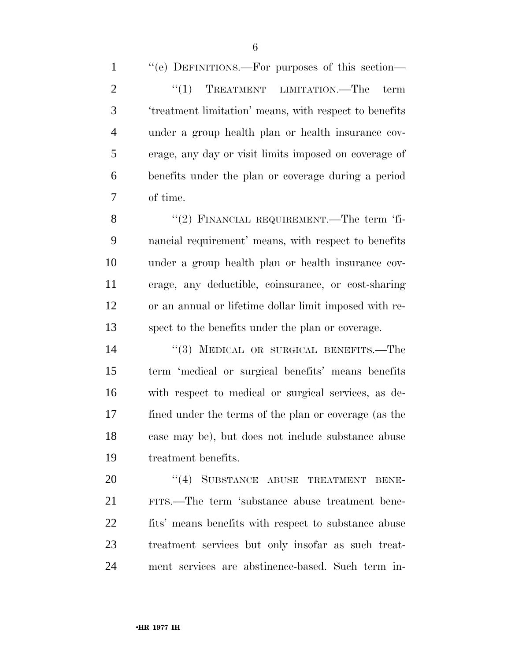''(e) DEFINITIONS.—For purposes of this section— 2 "(1) TREATMENT LIMITATION.—The term 'treatment limitation' means, with respect to benefits under a group health plan or health insurance cov- erage, any day or visit limits imposed on coverage of benefits under the plan or coverage during a period of time. 8 "(2) FINANCIAL REQUIREMENT.—The term 'fi- nancial requirement' means, with respect to benefits under a group health plan or health insurance cov- erage, any deductible, coinsurance, or cost-sharing or an annual or lifetime dollar limit imposed with re- spect to the benefits under the plan or coverage. 14 "(3) MEDICAL OR SURGICAL BENEFITS.—The term 'medical or surgical benefits' means benefits with respect to medical or surgical services, as de-fined under the terms of the plan or coverage (as the

treatment benefits.

20 "(4) SUBSTANCE ABUSE TREATMENT BENE- FITS.—The term 'substance abuse treatment bene- fits' means benefits with respect to substance abuse treatment services but only insofar as such treat-ment services are abstinence-based. Such term in-

case may be), but does not include substance abuse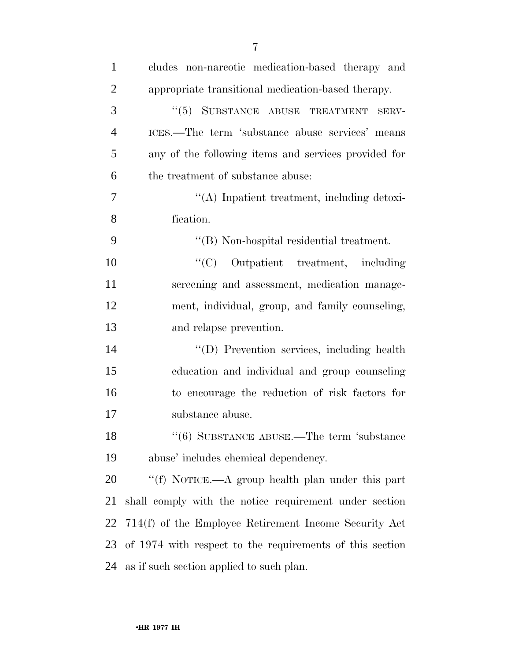| $\mathbf{1}$   | cludes non-narcotic medication-based therapy and         |
|----------------|----------------------------------------------------------|
| $\overline{2}$ | appropriate transitional medication-based therapy.       |
| 3              | "(5) SUBSTANCE ABUSE TREATMENT<br>SERV-                  |
| $\overline{4}$ | ICES.—The term 'substance abuse services' means          |
| 5              | any of the following items and services provided for     |
| 6              | the treatment of substance abuse:                        |
| 7              | "(A) Inpatient treatment, including detoxi-              |
| 8              | fication.                                                |
| 9              | $\lq\lq$ (B) Non-hospital residential treatment.         |
| 10             | ``(C)<br>Outpatient treatment, including                 |
| 11             | screening and assessment, medication manage-             |
| 12             | ment, individual, group, and family counseling,          |
| 13             | and relapse prevention.                                  |
| 14             | "(D) Prevention services, including health               |
| 15             | education and individual and group counseling            |
| 16             | to encourage the reduction of risk factors for           |
| 17             | substance abuse.                                         |
| 18             | $\cdot\cdot$ (6) SUBSTANCE ABUSE.—The term 'substance    |
| 19             | abuse' includes chemical dependency.                     |
| 20             | "(f) NOTICE.—A group health plan under this part         |
| 21             | shall comply with the notice requirement under section   |
| 22             | 714(f) of the Employee Retirement Income Security Act    |
| 23             | of 1974 with respect to the requirements of this section |
| 24             | as if such section applied to such plan.                 |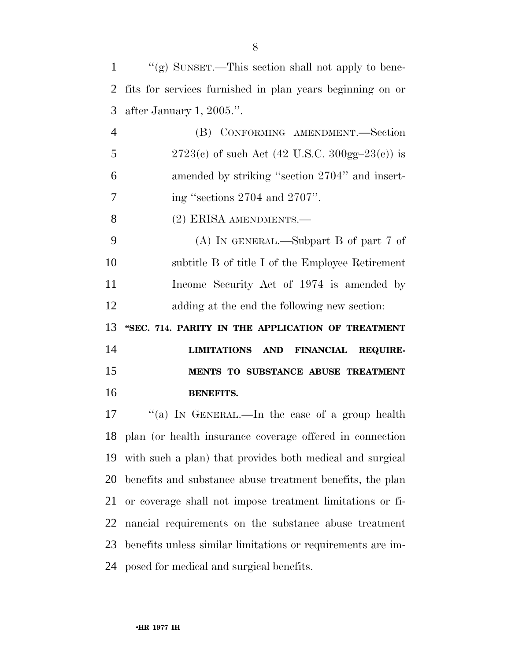| $\mathbf{1}$   | "(g) SUNSET.—This section shall not apply to bene-            |
|----------------|---------------------------------------------------------------|
| 2              | fits for services furnished in plan years beginning on or     |
| 3              | after January 1, $2005$ .".                                   |
| $\overline{4}$ | (B) CONFORMING AMENDMENT.-Section                             |
| 5              | $2723(c)$ of such Act (42 U.S.C. $300gg-23(c)$ ) is           |
| 6              | amended by striking "section 2704" and insert-                |
| 7              | ing "sections $2704$ and $2707$ ".                            |
| 8              | (2) ERISA AMENDMENTS.-                                        |
| 9              | (A) IN GENERAL.—Subpart B of part 7 of                        |
| 10             | subtitle B of title I of the Employee Retirement              |
| 11             | Income Security Act of 1974 is amended by                     |
| 12             | adding at the end the following new section:                  |
| 13             | "SEC. 714. PARITY IN THE APPLICATION OF TREATMENT             |
| 14             | <b>LIMITATIONS</b><br><b>AND FINANCIAL</b><br><b>REQUIRE-</b> |
| 15             | MENTS TO SUBSTANCE ABUSE TREATMENT                            |
| 16             | <b>BENEFITS.</b>                                              |
| 17             | "(a) In GENERAL.—In the case of a group health                |
|                | 18 plan (or health insurance coverage offered in connection   |
| 19             | with such a plan) that provides both medical and surgical     |
| 20             | benefits and substance abuse treatment benefits, the plan     |
| 21             | or coverage shall not impose treatment limitations or fi-     |
| 22             | nancial requirements on the substance abuse treatment         |
|                |                                                               |

posed for medical and surgical benefits.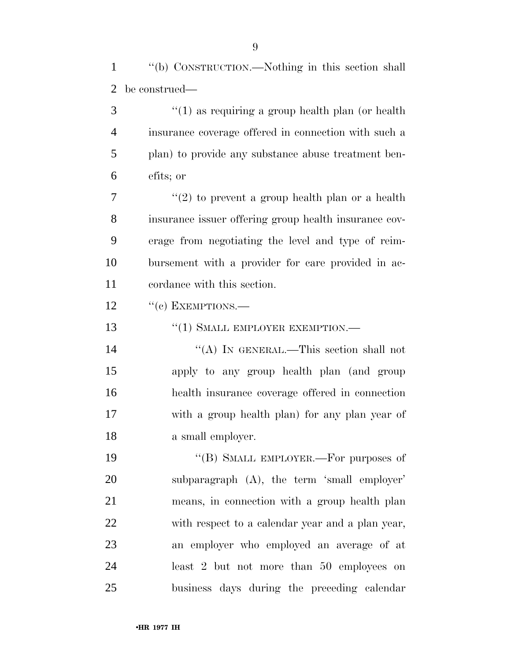''(b) CONSTRUCTION.—Nothing in this section shall be construed—

 ''(1) as requiring a group health plan (or health insurance coverage offered in connection with such a plan) to provide any substance abuse treatment ben-efits; or

 $\frac{1}{2}$  <sup>('(2)</sup> to prevent a group health plan or a health insurance issuer offering group health insurance cov- erage from negotiating the level and type of reim- bursement with a provider for care provided in ac-cordance with this section.

12 "(c) EXEMPTIONS.—

**''(1) SMALL EMPLOYER EXEMPTION.—** 

14 "(A) IN GENERAL.—This section shall not apply to any group health plan (and group health insurance coverage offered in connection with a group health plan) for any plan year of a small employer.

19 "(B) SMALL EMPLOYER.—For purposes of subparagraph (A), the term 'small employer' means, in connection with a group health plan with respect to a calendar year and a plan year, an employer who employed an average of at least 2 but not more than 50 employees on business days during the preceding calendar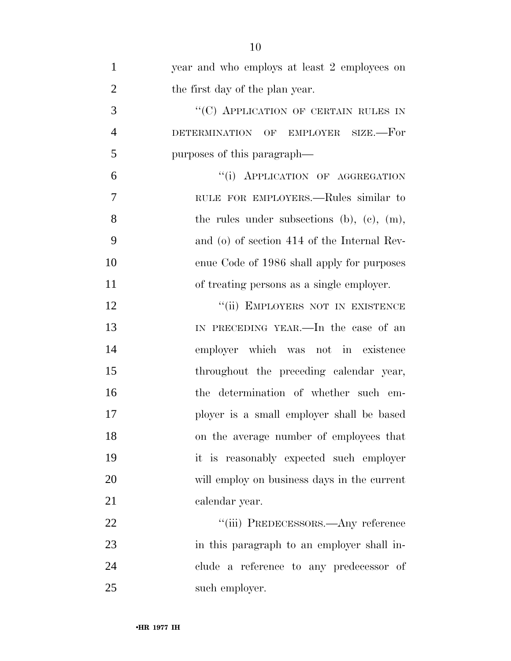| $\mathbf{1}$   | year and who employs at least 2 employees on        |
|----------------|-----------------------------------------------------|
| $\overline{2}$ | the first day of the plan year.                     |
| 3              | "(C) APPLICATION OF CERTAIN RULES IN                |
| $\overline{4}$ | DETERMINATION OF EMPLOYER SIZE.-For                 |
| 5              | purposes of this paragraph—                         |
| 6              | "(i) APPLICATION OF AGGREGATION                     |
| 7              | RULE FOR EMPLOYERS.—Rules similar to                |
| 8              | the rules under subsections $(b)$ , $(c)$ , $(m)$ , |
| 9              | and (o) of section 414 of the Internal Rev-         |
| 10             | enue Code of 1986 shall apply for purposes          |
| 11             | of treating persons as a single employer.           |
| 12             | "(ii) EMPLOYERS NOT IN EXISTENCE                    |
| 13             | IN PRECEDING YEAR.—In the case of an                |
| 14             | employer which was not in existence                 |
| 15             | throughout the preceding calendar year,             |
| 16             | the determination of whether such em-               |
| 17             | ployer is a small employer shall be based           |
| 18             | on the average number of employees that             |
| 19             | it is reasonably expected such employer             |
| 20             | will employ on business days in the current         |
| 21             | calendar year.                                      |
| 22             | "(iii) PREDECESSORS.—Any reference                  |
| 23             | in this paragraph to an employer shall in-          |
| 24             | clude a reference to any predecessor of             |
| 25             | such employer.                                      |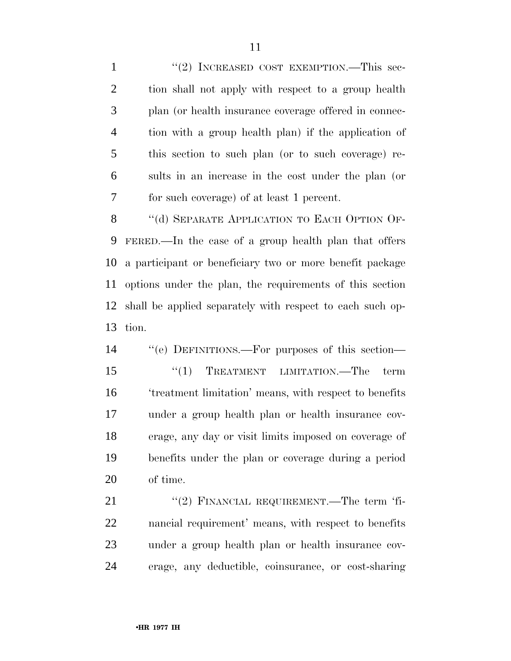1 "(2) INCREASED COST EXEMPTION.—This sec- tion shall not apply with respect to a group health plan (or health insurance coverage offered in connec- tion with a group health plan) if the application of this section to such plan (or to such coverage) re- sults in an increase in the cost under the plan (or for such coverage) of at least 1 percent.

8 "(d) SEPARATE APPLICATION TO EACH OPTION OF- FERED.—In the case of a group health plan that offers a participant or beneficiary two or more benefit package options under the plan, the requirements of this section shall be applied separately with respect to each such op-tion.

 ''(e) DEFINITIONS.—For purposes of this section— 15 "(1) TREATMENT LIMITATION.—The term 'treatment limitation' means, with respect to benefits under a group health plan or health insurance cov- erage, any day or visit limits imposed on coverage of benefits under the plan or coverage during a period of time.

21 "(2) FINANCIAL REQUIREMENT.—The term 'fi- nancial requirement' means, with respect to benefits under a group health plan or health insurance cov-erage, any deductible, coinsurance, or cost-sharing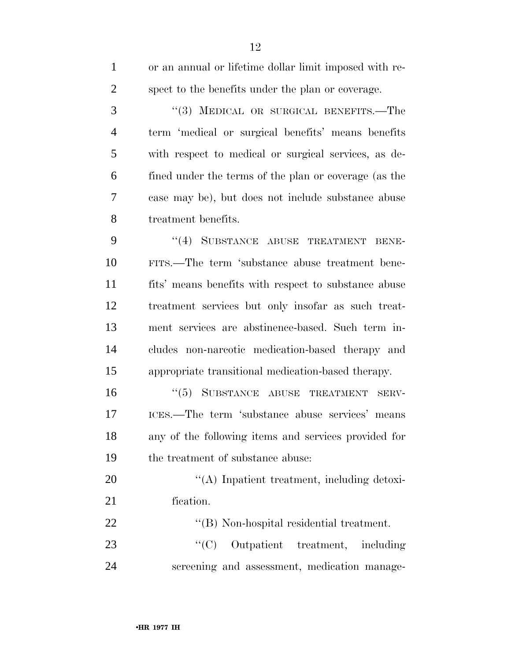| $\mathbf{1}$   | or an annual or lifetime dollar limit imposed with re-         |
|----------------|----------------------------------------------------------------|
| $\overline{2}$ | spect to the benefits under the plan or coverage.              |
| 3              | "(3) MEDICAL OR SURGICAL BENEFITS.—The                         |
| $\overline{4}$ | term 'medical or surgical benefits' means benefits             |
| 5              | with respect to medical or surgical services, as de-           |
| 6              | fined under the terms of the plan or coverage (as the          |
| 7              | case may be), but does not include substance abuse             |
| 8              | treatment benefits.                                            |
| 9              | "(4) SUBSTANCE ABUSE TREATMENT<br><b>BENE-</b>                 |
| 10             | FITS.—The term 'substance abuse treatment bene-                |
| 11             | fits' means benefits with respect to substance abuse           |
| 12             | treatment services but only insofar as such treat-             |
| 13             | ment services are abstinence-based. Such term in-              |
| 14             | cludes non-narcotic medication-based therapy and               |
| 15             | appropriate transitional medication-based therapy.             |
| 16             | "(5) SUBSTANCE ABUSE TREATMENT SERV-                           |
| 17             | ICES.—The term 'substance abuse services' means                |
| 18             | any of the following items and services provided for           |
| 19             | the treatment of substance abuse:                              |
| 20             | $\lq\lq$ . In a Instituted Instituted in the including detoxi- |
| 21             | fication.                                                      |
| 22             | "(B) Non-hospital residential treatment.                       |
| 23             | ``(C)<br>Outpatient treatment, including                       |
| 24             | screening and assessment, medication manage-                   |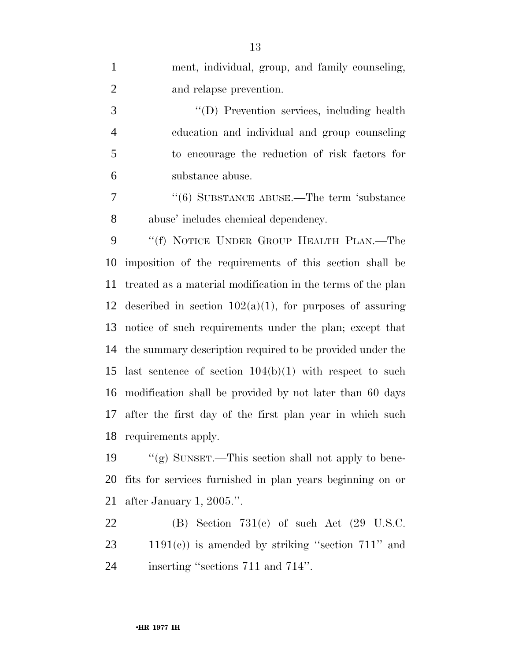| $\mathbf{1}$   | ment, individual, group, and family counseling,             |
|----------------|-------------------------------------------------------------|
| $\overline{2}$ | and relapse prevention.                                     |
| 3              | "(D) Prevention services, including health                  |
| $\overline{4}$ | education and individual and group counseling               |
| 5              | to encourage the reduction of risk factors for              |
| 6              | substance abuse.                                            |
| $\overline{7}$ | "(6) SUBSTANCE ABUSE.—The term 'substance                   |
| 8              | abuse' includes chemical dependency.                        |
| 9              | "(f) NOTICE UNDER GROUP HEALTH PLAN.—The                    |
| 10             | imposition of the requirements of this section shall be     |
| 11             | treated as a material modification in the terms of the plan |
| 12             | described in section $102(a)(1)$ , for purposes of assuring |
| 13             | notice of such requirements under the plan; except that     |
| 14             | the summary description required to be provided under the   |
| 15             | last sentence of section $104(b)(1)$ with respect to such   |
| 16             | modification shall be provided by not later than 60 days    |
| 17             | after the first day of the first plan year in which such    |
|                | 18 requirements apply.                                      |
| 19             | "(g) SUNSET.—This section shall not apply to bene-          |
| 20             | fits for services furnished in plan years beginning on or   |
| 21             | after January 1, $2005$ .".                                 |
| 22             | (B) Section $731(c)$ of such Act $(29 \text{ U.S.C.})$      |
|                |                                                             |

 1191(c)) is amended by striking ''section 711'' and inserting ''sections 711 and 714''.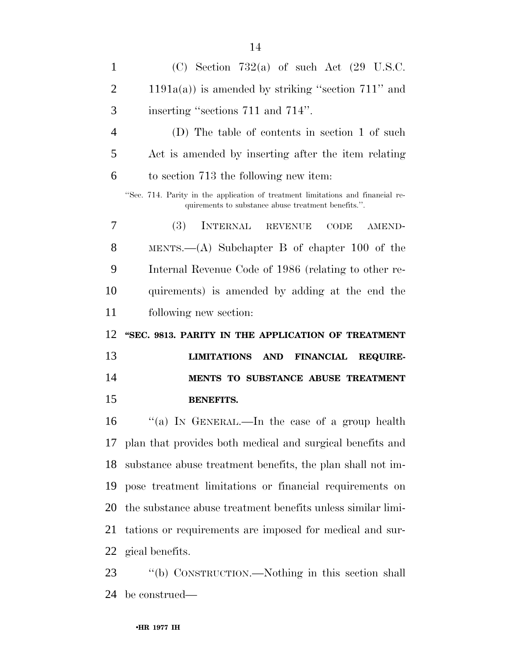| $\mathbf{1}$   | $(C)$ Section 732(a) of such Act $(29 \text{ U.S.C.})$                                                                                 |
|----------------|----------------------------------------------------------------------------------------------------------------------------------------|
| $\overline{2}$ | $1191a(a)$ ) is amended by striking "section 711" and                                                                                  |
| 3              | inserting "sections 711 and 714".                                                                                                      |
| $\overline{4}$ | (D) The table of contents in section 1 of such                                                                                         |
| 5              | Act is amended by inserting after the item relating                                                                                    |
| 6              | to section 713 the following new item:                                                                                                 |
|                | "Sec. 714. Parity in the application of treatment limitations and financial re-<br>quirements to substance abuse treatment benefits.". |
| 7              | (3) INTERNAL REVENUE<br>$\mathrm{CODE}$<br>AMEND-                                                                                      |
| 8              | MENTS.— $(A)$ Subchapter B of chapter 100 of the                                                                                       |
| 9              | Internal Revenue Code of 1986 (relating to other re-                                                                                   |
| 10             | quirements) is amended by adding at the end the                                                                                        |
| 11             | following new section:                                                                                                                 |
|                |                                                                                                                                        |
| 12             | "SEC. 9813. PARITY IN THE APPLICATION OF TREATMENT                                                                                     |
| 13             | LIMITATIONS AND FINANCIAL<br><b>REQUIRE-</b>                                                                                           |
| 14             | MENTS TO SUBSTANCE ABUSE TREATMENT                                                                                                     |
| 15             | <b>BENEFITS.</b>                                                                                                                       |
| 16             | "(a) IN GENERAL.—In the case of a group health                                                                                         |
|                | 17 plan that provides both medical and surgical benefits and                                                                           |
| 18             | substance abuse treatment benefits, the plan shall not im-                                                                             |
| 19             | pose treatment limitations or financial requirements on                                                                                |
| 20             | the substance abuse treatment benefits unless similar limi-                                                                            |
| 21             | tations or requirements are imposed for medical and sur-                                                                               |
|                | 22 gical benefits.                                                                                                                     |

 ''(b) CONSTRUCTION.—Nothing in this section shall be construed—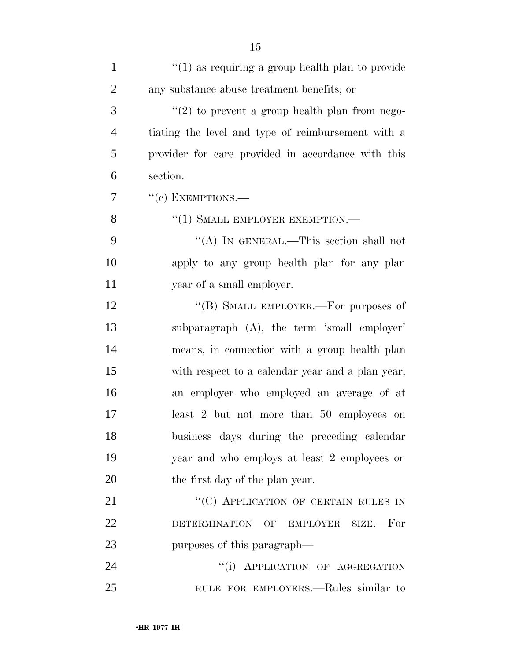| $\mathbf{1}$   | $"(1)$ as requiring a group health plan to provide |
|----------------|----------------------------------------------------|
| $\overline{2}$ | any substance abuse treatment benefits; or         |
| 3              | $\lq(2)$ to prevent a group health plan from nego- |
| $\overline{4}$ | tiating the level and type of reimbursement with a |
| 5              | provider for care provided in accordance with this |
| 6              | section.                                           |
| 7              | "(c) EXEMPTIONS.-                                  |
| 8              | $``(1)$ SMALL EMPLOYER EXEMPTION.—                 |
| 9              | "(A) IN GENERAL.—This section shall not            |
| 10             | apply to any group health plan for any plan        |
| 11             | year of a small employer.                          |
| 12             | "(B) SMALL EMPLOYER.—For purposes of               |
| 13             | subparagraph (A), the term 'small employer'        |
| 14             | means, in connection with a group health plan      |
| 15             | with respect to a calendar year and a plan year,   |
| 16             | an employer who employed an average of at          |
| 17             | least 2 but not more than 50 employees on          |
| 18             | business days during the preceding calendar        |
| 19             | year and who employs at least 2 employees on       |
| 20             | the first day of the plan year.                    |
| 21             | "(C) APPLICATION OF CERTAIN RULES IN               |
| 22             | size.—For<br><b>DETERMINATION</b><br>OF EMPLOYER   |
| 23             | purposes of this paragraph—                        |
| 24             | "(i) APPLICATION OF AGGREGATION                    |
| 25             | RULE FOR EMPLOYERS.—Rules similar to               |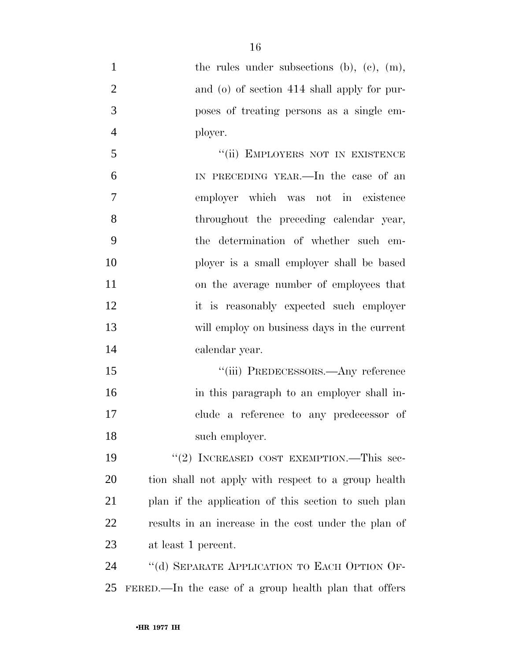1 the rules under subsections (b), (c), (m), and (o) of section 414 shall apply for pur- poses of treating persons as a single em-ployer.

5 "(ii) EMPLOYERS NOT IN EXISTENCE IN PRECEDING YEAR.—In the case of an employer which was not in existence throughout the preceding calendar year, the determination of whether such em- ployer is a small employer shall be based on the average number of employees that it is reasonably expected such employer will employ on business days in the current calendar year.

15 "(iii) PREDECESSORS.—Any reference in this paragraph to an employer shall in- clude a reference to any predecessor of 18 such employer.

19 "(2) INCREASED COST EXEMPTION.—This sec- tion shall not apply with respect to a group health plan if the application of this section to such plan results in an increase in the cost under the plan of at least 1 percent.

24 "(d) SEPARATE APPLICATION TO EACH OPTION OF-FERED.—In the case of a group health plan that offers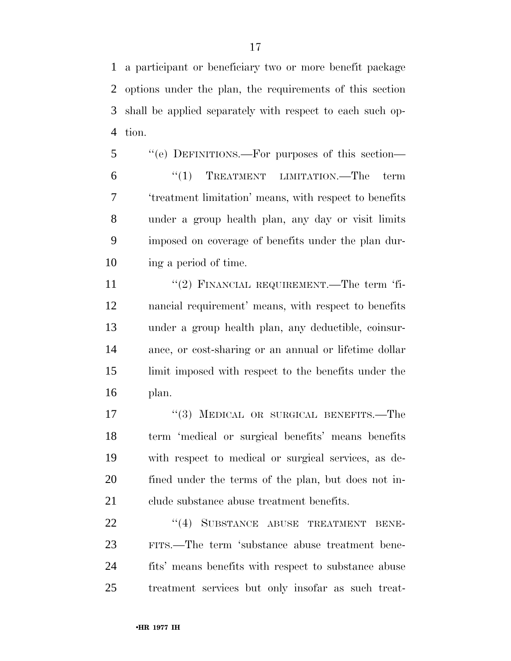a participant or beneficiary two or more benefit package options under the plan, the requirements of this section shall be applied separately with respect to each such op-tion.

 ''(e) DEFINITIONS.—For purposes of this section— 6 "(1) TREATMENT LIMITATION.—The term 'treatment limitation' means, with respect to benefits under a group health plan, any day or visit limits imposed on coverage of benefits under the plan dur-ing a period of time.

11 ''(2) FINANCIAL REQUIREMENT.—The term 'fi- nancial requirement' means, with respect to benefits under a group health plan, any deductible, coinsur- ance, or cost-sharing or an annual or lifetime dollar limit imposed with respect to the benefits under the plan.

17 "(3) MEDICAL OR SURGICAL BENEFITS.—The term 'medical or surgical benefits' means benefits with respect to medical or surgical services, as de- fined under the terms of the plan, but does not in-21 clude substance abuse treatment benefits.

22 "(4) SUBSTANCE ABUSE TREATMENT BENE- FITS.—The term 'substance abuse treatment bene- fits' means benefits with respect to substance abuse treatment services but only insofar as such treat-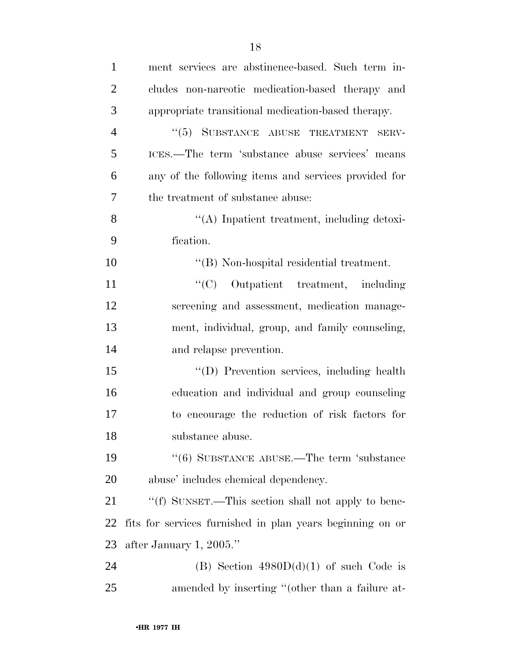| $\mathbf{1}$   | ment services are abstinence-based. Such term in-         |
|----------------|-----------------------------------------------------------|
| $\overline{2}$ | cludes non-narcotic medication-based therapy and          |
| 3              | appropriate transitional medication-based therapy.        |
| $\overline{4}$ | "(5) SUBSTANCE ABUSE TREATMENT<br>SERV-                   |
| 5              | ICES.—The term 'substance abuse services' means           |
| 6              | any of the following items and services provided for      |
| 7              | the treatment of substance abuse:                         |
| 8              | "(A) Inpatient treatment, including detoxi-               |
| 9              | fication.                                                 |
| 10             | $\lq\lq$ (B) Non-hospital residential treatment.          |
| 11             | "(C) Outpatient treatment, including                      |
| 12             | screening and assessment, medication manage-              |
| 13             | ment, individual, group, and family counseling,           |
| 14             | and relapse prevention.                                   |
| 15             | "(D) Prevention services, including health                |
| 16             | education and individual and group counseling             |
| 17             | to encourage the reduction of risk factors for            |
| 18             | substance abuse.                                          |
| 19             | $\cdot\cdot$ (6) SUBSTANCE ABUSE.—The term 'substance     |
| 20             | abuse' includes chemical dependency.                      |
| 21             | "(f) SUNSET.—This section shall not apply to bene-        |
| 22             | fits for services furnished in plan years beginning on or |
| 23             | after January 1, 2005."                                   |
| 24             | (B) Section $4980D(d)(1)$ of such Code is                 |
| 25             | amended by inserting "(other than a failure at-           |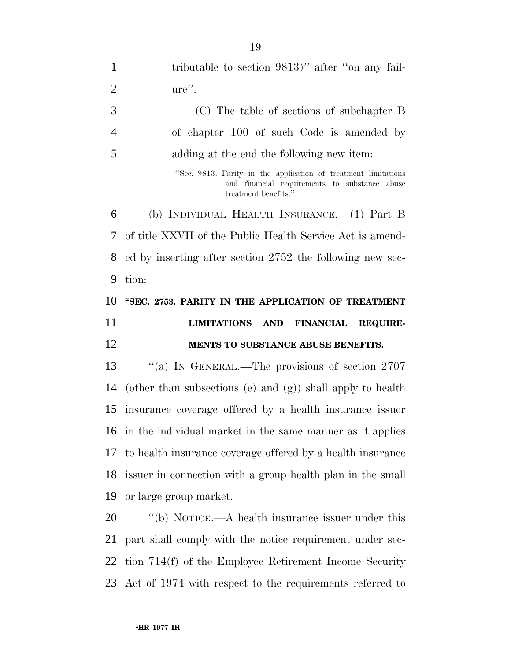| $\mathbf{1}$   | tributable to section 9813)" after "on any fail-                                                                                        |
|----------------|-----------------------------------------------------------------------------------------------------------------------------------------|
| $\overline{2}$ | ure".                                                                                                                                   |
| 3              | (C) The table of sections of subchapter B                                                                                               |
| $\overline{4}$ | of chapter 100 of such Code is amended by                                                                                               |
| 5              | adding at the end the following new item:                                                                                               |
|                | "Sec. 9813. Parity in the application of treatment limitations<br>and financial requirements to substance abuse<br>treatment benefits." |
| 6              | (b) INDIVIDUAL HEALTH INSURANCE.— $(1)$ Part B                                                                                          |
| 7              | of title XXVII of the Public Health Service Act is amend-                                                                               |
| 8              | ed by inserting after section 2752 the following new sec-                                                                               |
| 9              | tion:                                                                                                                                   |
| 10             | "SEC. 2753. PARITY IN THE APPLICATION OF TREATMENT                                                                                      |
|                |                                                                                                                                         |
| 11             | <b>AND FINANCIAL</b><br><b>LIMITATIONS</b><br><b>REQUIRE-</b>                                                                           |
| 12             | MENTS TO SUBSTANCE ABUSE BENEFITS.                                                                                                      |
| 13             | "(a) IN GENERAL.—The provisions of section 2707                                                                                         |
| 14             | (other than subsections (e) and $(g)$ ) shall apply to health                                                                           |
| 15             | insurance coverage offered by a health insurance issuer                                                                                 |
|                | 16 in the individual market in the same manner as it applies                                                                            |
| 17             | to health insurance coverage offered by a health insurance                                                                              |
| 18             | issuer in connection with a group health plan in the small                                                                              |
| 19             | or large group market.                                                                                                                  |
| 20             | "(b) NOTICE.—A health insurance issuer under this                                                                                       |
| 21             | part shall comply with the notice requirement under sec-                                                                                |
| 22             | tion 714(f) of the Employee Retirement Income Security                                                                                  |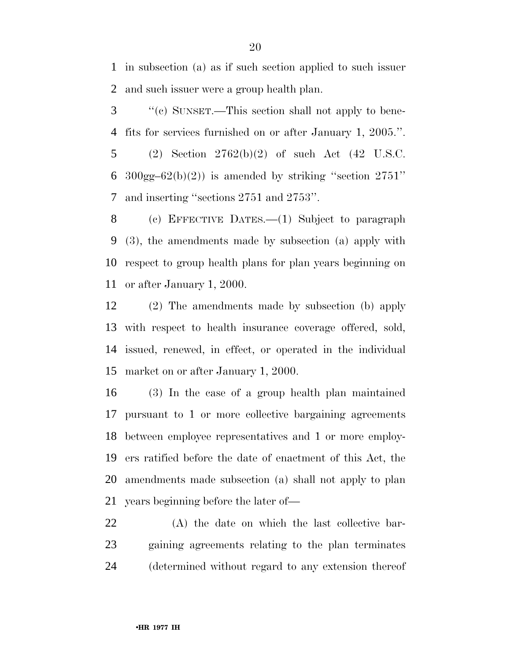in subsection (a) as if such section applied to such issuer and such issuer were a group health plan.

 ''(c) SUNSET.—This section shall not apply to bene- fits for services furnished on or after January 1, 2005.''. (2) Section 2762(b)(2) of such Act (42 U.S.C. 6 300gg-62(b)(2)) is amended by striking "section  $2751"$ and inserting ''sections 2751 and 2753''.

 (c) EFFECTIVE DATES.—(1) Subject to paragraph (3), the amendments made by subsection (a) apply with respect to group health plans for plan years beginning on or after January 1, 2000.

 (2) The amendments made by subsection (b) apply with respect to health insurance coverage offered, sold, issued, renewed, in effect, or operated in the individual market on or after January 1, 2000.

 (3) In the case of a group health plan maintained pursuant to 1 or more collective bargaining agreements between employee representatives and 1 or more employ- ers ratified before the date of enactment of this Act, the amendments made subsection (a) shall not apply to plan years beginning before the later of—

 (A) the date on which the last collective bar- gaining agreements relating to the plan terminates (determined without regard to any extension thereof